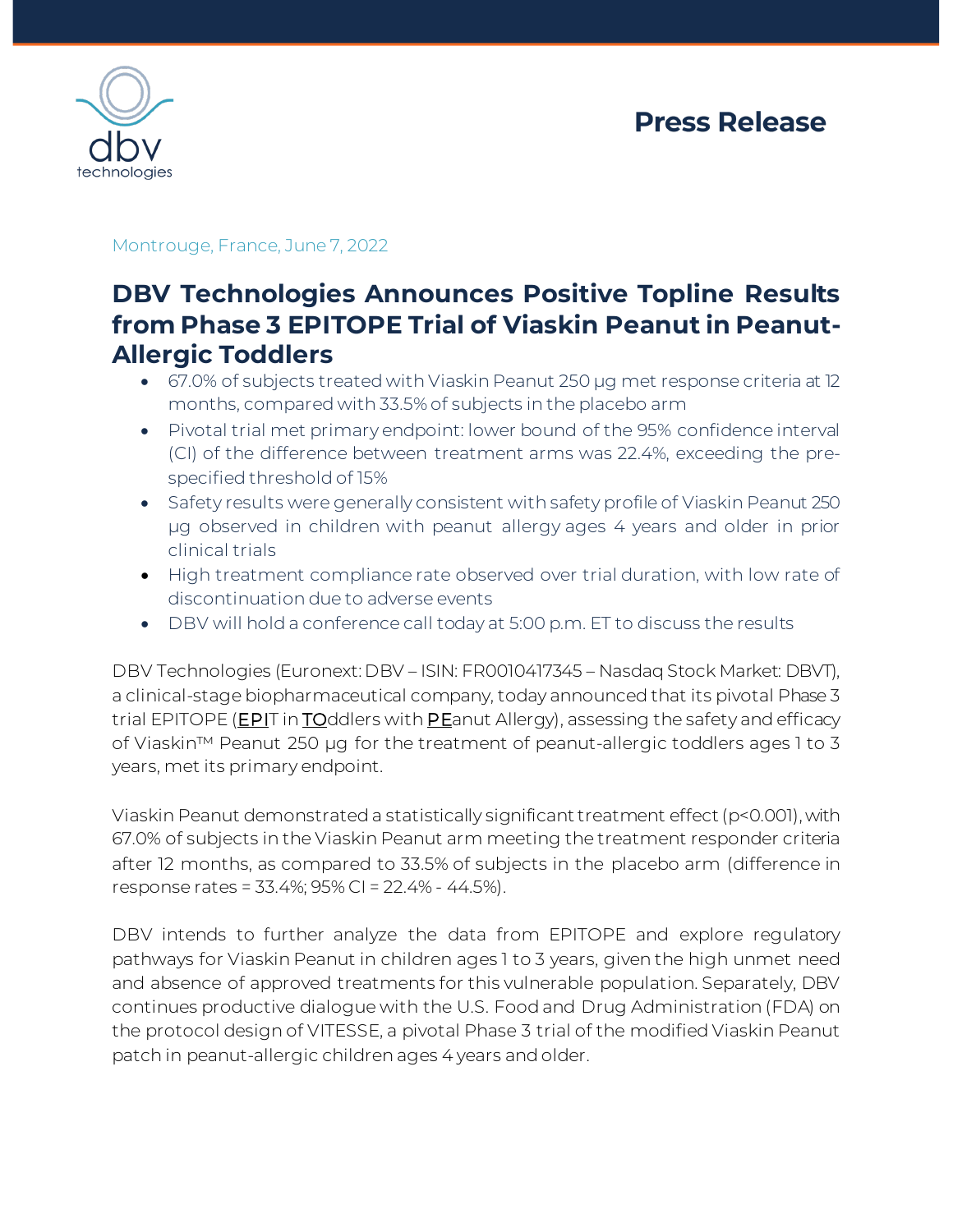



Montrouge, France, June 7, 2022

# **DBV Technologies Announces Positive Topline Results from Phase 3 EPITOPE Trial of Viaskin Peanut in Peanut-Allergic Toddlers**

- 67.0% of subjects treated with Viaskin Peanut 250 µg met response criteria at 12 months, compared with 33.5% of subjects in the placebo arm
- Pivotal trial met primary endpoint: lower bound of the 95% confidence interval (CI) of the difference between treatment arms was 22.4%, exceeding the prespecified threshold of 15%
- Safety results were generally consistent with safety profile of Viaskin Peanut 250 μg observed in children with peanut allergy ages 4 years and older in prior clinical trials
- High treatment compliance rate observed over trial duration, with low rate of discontinuation due to adverse events
- DBV will hold a conference call today at 5:00 p.m. ET to discuss the results

DBV Technologies (Euronext: DBV – ISIN: FR0010417345 – Nasdaq Stock Market: DBVT), a clinical-stage biopharmaceutical company, today announced that its pivotal Phase 3 trial EPITOPE (**EPI**T in TOddlers with PEanut Allergy), assessing the safety and efficacy of Viaskin™ Peanut 250 µg for the treatment of peanut-allergic toddlers ages 1 to 3 years, met its primary endpoint.

Viaskin Peanut demonstrated a statistically significant treatment effect(p<0.001), with 67.0% of subjects in the Viaskin Peanut arm meeting the treatment responder criteria after 12 months, as compared to 33.5% of subjects in the placebo arm (difference in response rates = 33.4%; 95% CI = 22.4% - 44.5%).

DBV intends to further analyze the data from EPITOPE and explore regulatory pathways for Viaskin Peanut in children ages 1 to 3 years, given the high unmet need and absence of approved treatments for this vulnerable population. Separately, DBV continues productive dialogue with the U.S. Food and Drug Administration (FDA) on the protocol design of VITESSE, a pivotal Phase 3 trial of the modified Viaskin Peanut patch in peanut-allergic children ages 4 years and older.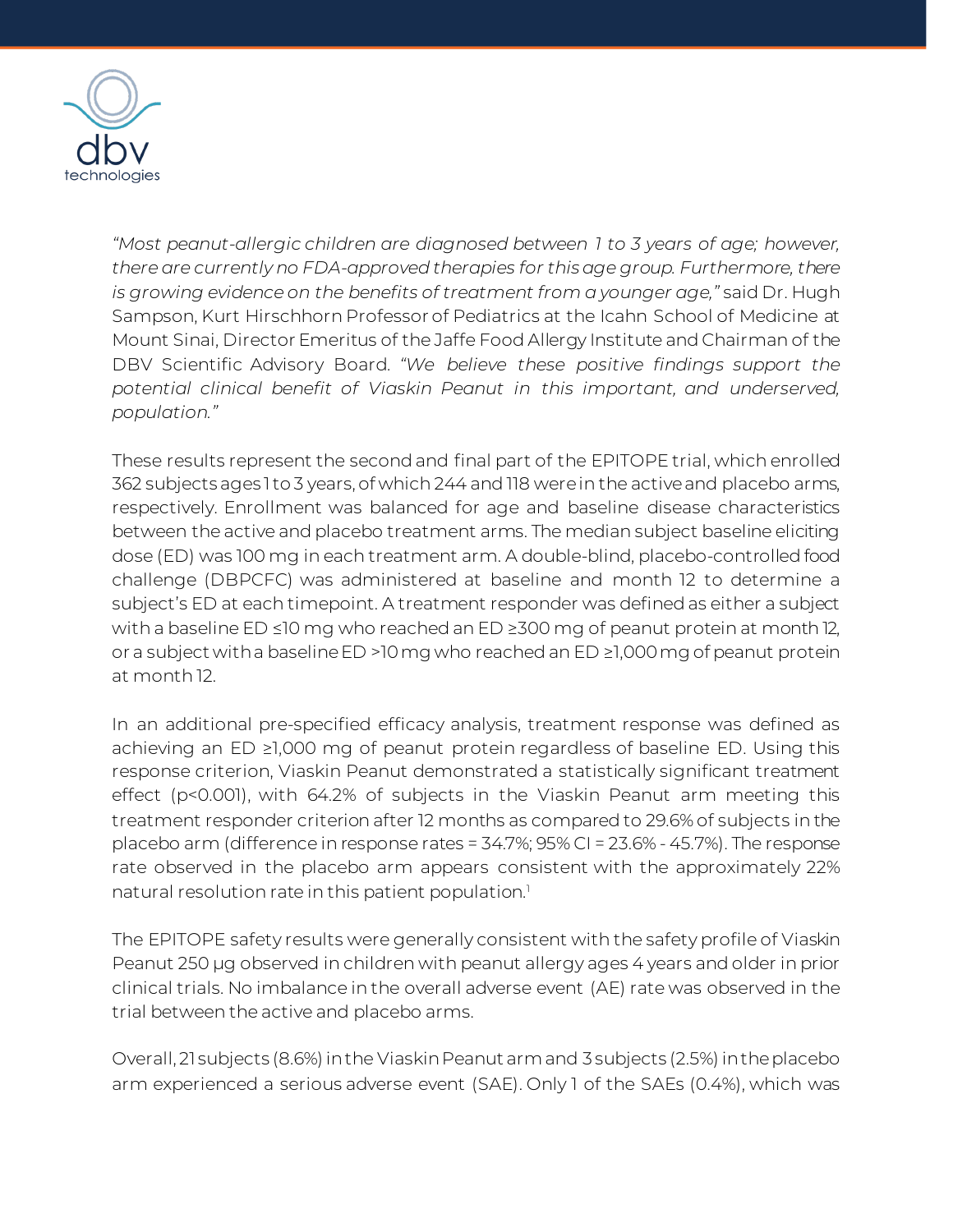

*"Most peanut-allergic children are diagnosed between 1 to 3 years of age; however, there are currently no FDA-approved therapies for this age group. Furthermore, there is growing evidence on the benefits of treatment from a younger age,"* said Dr. Hugh Sampson, Kurt Hirschhorn Professor of Pediatrics at the Icahn School of Medicine at Mount Sinai, Director Emeritus of the Jaffe Food Allergy Institute and Chairman of the DBV Scientific Advisory Board. *"We believe these positive findings support the potential clinical benefit of Viaskin Peanut in this important, and underserved, population."* 

These results represent the second and final part of the EPITOPE trial, which enrolled 362 subjects ages 1to 3 years, of which 244 and 118 were in the active and placebo arms, respectively. Enrollment was balanced for age and baseline disease characteristics between the active and placebo treatment arms. The median subject baseline eliciting dose (ED) was 100 mg in each treatment arm. A double-blind, placebo-controlled food challenge (DBPCFC) was administered at baseline and month 12 to determine a subject's ED at each timepoint. A treatment responder was defined as either a subject with a baseline ED ≤10 mg who reached an ED ≥300 mg of peanut protein at month 12, or a subject with a baseline ED >10 mg who reached an ED ≥1,000 mg of peanut protein at month 12.

In an additional pre-specified efficacy analysis, treatment response was defined as achieving an ED ≥1,000 mg of peanut protein regardless of baseline ED. Using this response criterion, Viaskin Peanut demonstrated a statistically significant treatment effect (p<0.001), with 64.2% of subjects in the Viaskin Peanut arm meeting this treatment responder criterion after 12 months as compared to 29.6% of subjects in the placebo arm (difference in response rates = 34.7%; 95% CI = 23.6% - 45.7%). The response rate observed in the placebo arm appears consistent with the approximately 22% natural resolution rate in this patient population. 1

The EPITOPE safety results were generally consistent with the safety profile of Viaskin Peanut 250 μg observed in children with peanut allergy ages 4 years and older in prior clinical trials. No imbalance in the overall adverse event (AE) rate was observed in the trial between the active and placebo arms.

Overall, 21 subjects (8.6%) in the Viaskin Peanut armand 3 subjects (2.5%) in the placebo arm experienced a serious adverse event (SAE). Only 1 of the SAEs (0.4%), which was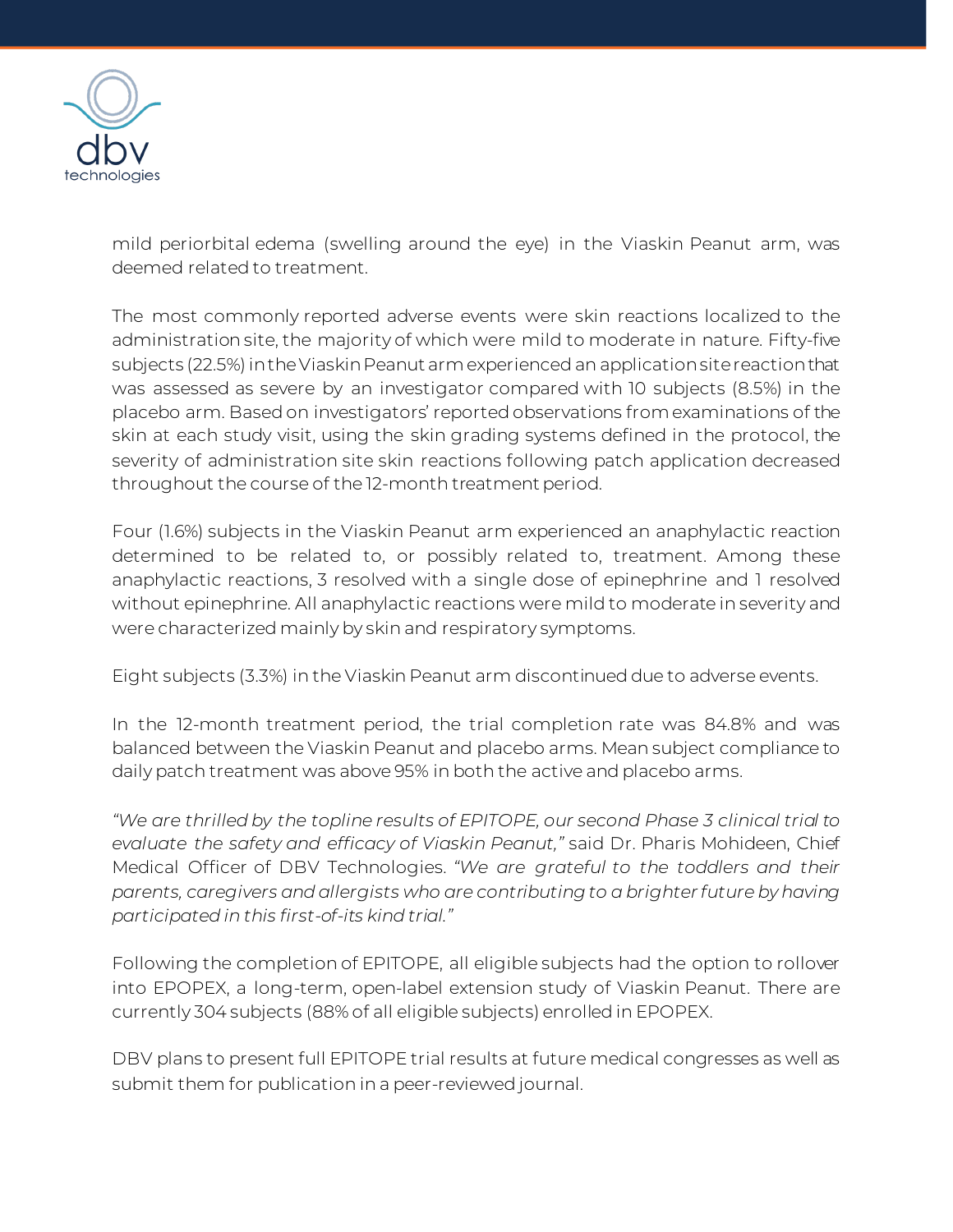

mild periorbital edema (swelling around the eye) in the Viaskin Peanut arm, was deemed related to treatment.

The most commonly reported adverse events were skin reactions localized to the administration site, the majority of which were mild to moderate in nature. Fifty-five subjects (22.5%) in the Viaskin Peanut arm experienced an application site reaction that was assessed as severe by an investigator compared with 10 subjects (8.5%) in the placebo arm. Based on investigators' reported observations from examinations of the skin at each study visit, using the skin grading systems defined in the protocol, the severity of administration site skin reactions following patch application decreased throughout the course of the 12-month treatment period.

Four (1.6%) subjects in the Viaskin Peanut arm experienced an anaphylactic reaction determined to be related to, or possibly related to, treatment. Among these anaphylactic reactions, 3 resolved with a single dose of epinephrine and 1 resolved without epinephrine. All anaphylactic reactions were mild to moderate in severity and were characterized mainly by skin and respiratory symptoms.

Eight subjects (3.3%) in the Viaskin Peanut arm discontinued due to adverse events.

In the 12-month treatment period, the trial completion rate was 84.8% and was balanced between the Viaskin Peanut and placebo arms. Mean subject compliance to daily patch treatment was above 95% in both the active and placebo arms.

*"We are thrilled by the topline results of EPITOPE, our second Phase 3 clinical trial to evaluate the safety and efficacy of Viaskin Peanut,"* said Dr. Pharis Mohideen, Chief Medical Officer of DBV Technologies. *"We are grateful to the toddlers and their parents, caregivers and allergists who are contributing to a brighter future by having participated in this first-of-its kind trial."*

Following the completion of EPITOPE, all eligible subjects had the option to rollover into EPOPEX, a long-term, open-label extension study of Viaskin Peanut. There are currently 304 subjects (88% of all eligible subjects) enrolled in EPOPEX.

DBV plans to present full EPITOPE trial results at future medical congresses as well as submit them for publication in a peer-reviewed journal.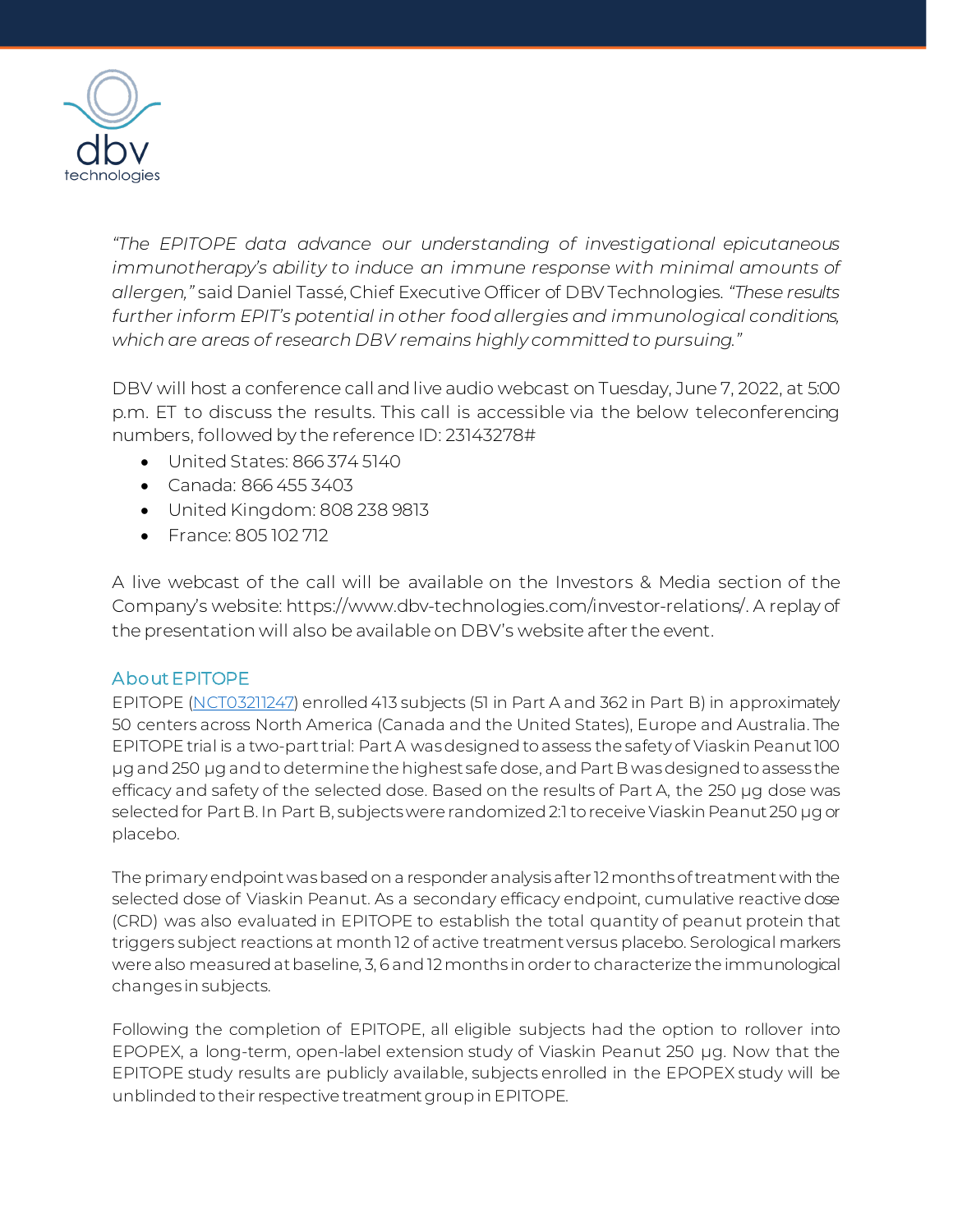

*"The EPITOPE data advance our understanding of investigational epicutaneous immunotherapy's ability to induce an immune response with minimal amounts of allergen,"* said Daniel Tassé, Chief Executive Officer of DBV Technologies*. "These results further inform EPIT's potential in other food allergies and immunological conditions, which are areas of research DBV remains highly committed to pursuing."*

DBV will host a conference call and live audio webcast on Tuesday, June 7, 2022, at 5:00 p.m. ET to discuss the results. This call is accessible via the below teleconferencing numbers, followed by the reference ID: 23143278#

- United States: 866 374 5140
- Canada: 866 455 3403
- United Kingdom: 808 238 9813
- France: 805 102 712

A live webcast of the call will be available on the Investors & Media section of the Company's website: https://www.dbv-technologies.com/investor-relations/. A replay of the presentation will also be available on DBV's website after the event.

### About EPITOPE

EPITOPE [\(NCT03211247\)](https://clinicaltrials.gov/ct2/show/NCT03211247) enrolled 413 subjects (51 in Part A and 362 in Part B) in approximately 50 centers across North America (Canada and the United States), Europe and Australia. The EPITOPE trial is a two-part trial: Part A was designed to assess the safety of Viaskin Peanut 100 µg and 250 µg and to determine the highest safe dose, and Part B wasdesigned to assess the efficacy and safety of the selected dose. Based on the results of Part A, the 250 µg dose was selected for Part B. In Part B, subjects were randomized 2:1 to receive Viaskin Peanut 250 µg or placebo.

The primary endpoint wasbased on a responder analysis after 12 months of treatment with the selected dose of Viaskin Peanut. As a secondary efficacy endpoint, cumulative reactive dose (CRD) was also evaluated in EPITOPE to establish the total quantity of peanut protein that triggers subject reactions at month 12 of active treatment versus placebo. Serological markers were also measured at baseline, 3, 6 and 12 months in order to characterize the immunological changes in subjects.

Following the completion of EPITOPE, all eligible subjects had the option to rollover into EPOPEX, a long-term, open-label extension study of Viaskin Peanut 250 µg. Now that the EPITOPE study results are publicly available, subjects enrolled in the EPOPEX study will be unblinded to their respective treatment group in EPITOPE.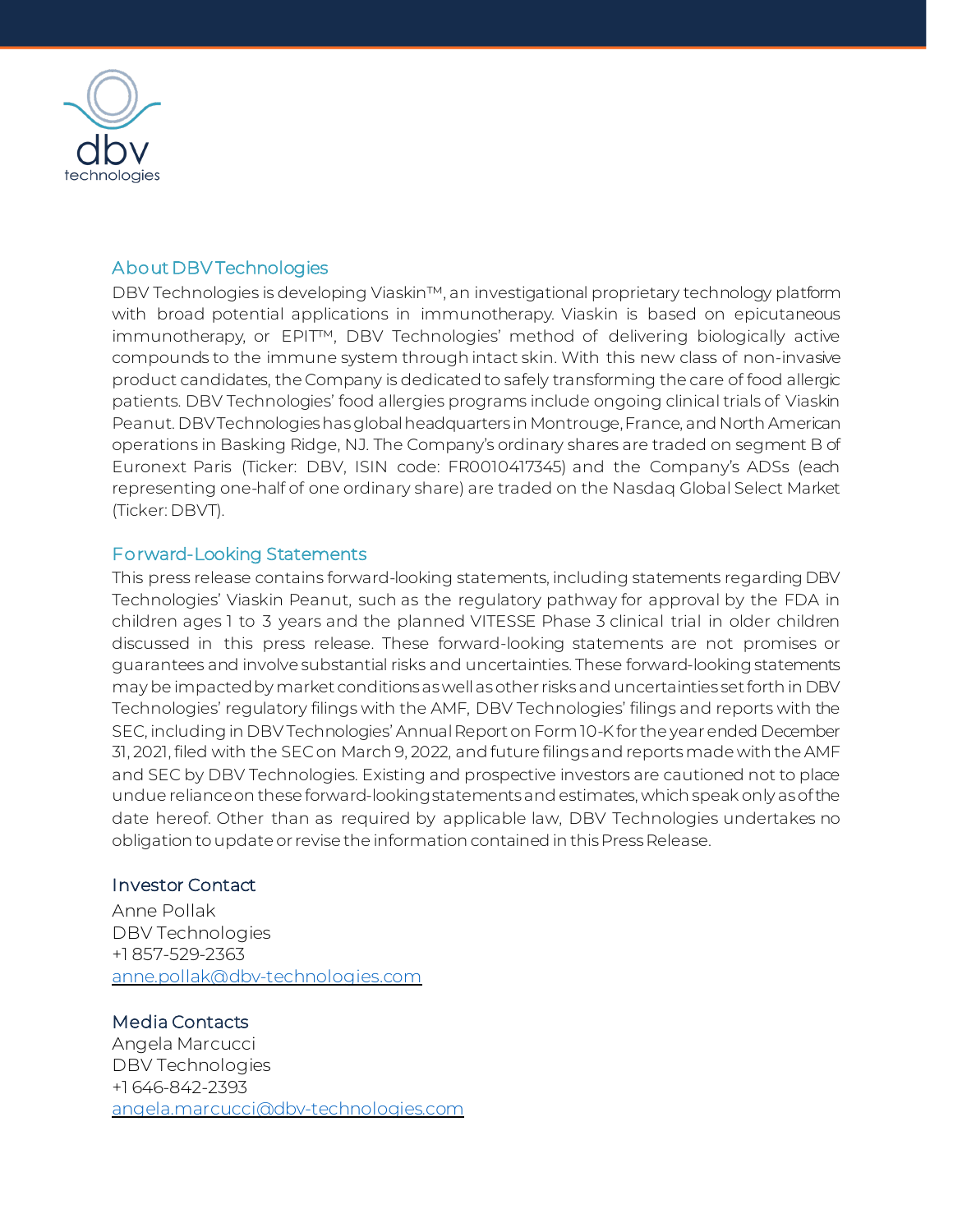

## About DBV Technologies

DBV Technologies is developing Viaskin™, an investigational proprietary technology platform with broad potential applications in immunotherapy. Viaskin is based on epicutaneous immunotherapy, or EPIT™, DBV Technologies' method of delivering biologically active compounds to the immune system through intact skin. With this new class of non-invasive product candidates, the Company is dedicated to safely transforming the care of food allergic patients. DBV Technologies' food allergies programs include ongoing clinical trials of Viaskin Peanut. DBV Technologies has global headquarters in Montrouge, France, and North American operations in Basking Ridge, NJ. The Company's ordinary shares are traded on segment B of Euronext Paris (Ticker: DBV, ISIN code: FR0010417345) and the Company's ADSs (each representing one-half of one ordinary share) are traded on the Nasdaq Global Select Market (Ticker: DBVT).

### Forward-Looking Statements

This press release contains forward-looking statements, including statements regarding DBV Technologies' Viaskin Peanut, such as the regulatory pathway for approval by the FDA in children ages 1 to 3 years and the planned VITESSE Phase 3 clinical trial in older children discussed in this press release. These forward-looking statements are not promises or guarantees and involve substantial risks and uncertainties. These forward-looking statements may be impacted by market conditionsas well as other risks and uncertainties set forth in DBV Technologies' regulatory filings with the AMF, DBV Technologies' filings and reports with the SEC, including in DBV Technologies' Annual Report on Form 10-K for the year ended December 31, 2021, filed with the SEC on March 9, 2022, and future filings and reports made with the AMF and SEC by DBV Technologies. Existing and prospective investors are cautioned not to place undue reliance on these forward-looking statements and estimates, which speak only as of the date hereof. Other than as required by applicable law, DBV Technologies undertakes no obligation to update or revise the information contained in this Press Release.

### Investor Contact

Anne Pollak DBV Technologies +1 857-529-2363 [anne.pollak@dbv-technologies.com](mailto:anne.pollak@dbv-technologies.com)

### Media Contacts

Angela Marcucci DBV Technologies +1 646-842-2393 [angela.marcucci@dbv-technologies.com](mailto:angela.marcucci@dbv-technologies.com)